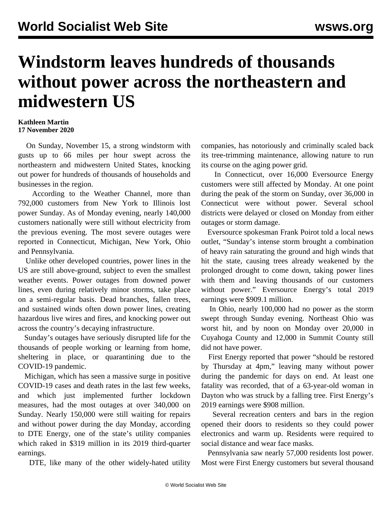## **Windstorm leaves hundreds of thousands without power across the northeastern and midwestern US**

## **Kathleen Martin 17 November 2020**

 On Sunday, November 15, a strong windstorm with gusts up to 66 miles per hour swept across the northeastern and midwestern United States, knocking out power for hundreds of thousands of households and businesses in the region.

 According to the Weather Channel, more than 792,000 customers from New York to Illinois lost power Sunday. As of Monday evening, nearly 140,000 customers nationally were still without electricity from the previous evening. The most severe outages were reported in Connecticut, Michigan, New York, Ohio and Pennsylvania.

 Unlike other developed countries, power lines in the US are still above-ground, subject to even the smallest weather events. Power outages from downed power lines, even during relatively minor storms, take place on a semi-regular basis. Dead branches, fallen trees, and sustained winds often down power lines, creating hazardous live wires and fires, and knocking power out across the country's decaying infrastructure.

 Sunday's outages have seriously disrupted life for the thousands of people working or learning from home, sheltering in place, or quarantining due to the COVID-19 pandemic.

 Michigan, which has seen a massive surge in positive COVID-19 cases and death rates in the last few weeks, and which just implemented further lockdown measures, had the most outages at over 340,000 on Sunday. Nearly 150,000 were still waiting for repairs and without power during the day Monday, according to DTE Energy, one of the state's utility companies which raked in \$319 million in its 2019 third-quarter earnings.

DTE, like many of the other widely-hated utility

companies, has notoriously and criminally scaled back its tree-trimming maintenance, allowing nature to run its course on the aging power grid.

 In Connecticut, over 16,000 Eversource Energy customers were still affected by Monday. At one point during the peak of the storm on Sunday, over 36,000 in Connecticut were without power. Several school districts were delayed or closed on Monday from either outages or storm damage.

 Eversource spokesman Frank Poirot told a local news outlet, "Sunday's intense storm brought a combination of heavy rain saturating the ground and high winds that hit the state, causing trees already weakened by the prolonged drought to come down, taking power lines with them and leaving thousands of our customers without power." Eversource Energy's total 2019 earnings were \$909.1 million.

 In Ohio, nearly 100,000 had no power as the storm swept through Sunday evening. Northeast Ohio was worst hit, and by noon on Monday over 20,000 in Cuyahoga County and 12,000 in Summit County still did not have power.

 First Energy reported that power "should be restored by Thursday at 4pm," leaving many without power during the pandemic for days on end. At least one fatality was recorded, that of a 63-year-old woman in Dayton who was struck by a falling tree. First Energy's 2019 earnings were \$908 million.

 Several recreation centers and bars in the region opened their doors to residents so they could power electronics and warm up. Residents were required to social distance and wear face masks.

 Pennsylvania saw nearly 57,000 residents lost power. Most were First Energy customers but several thousand